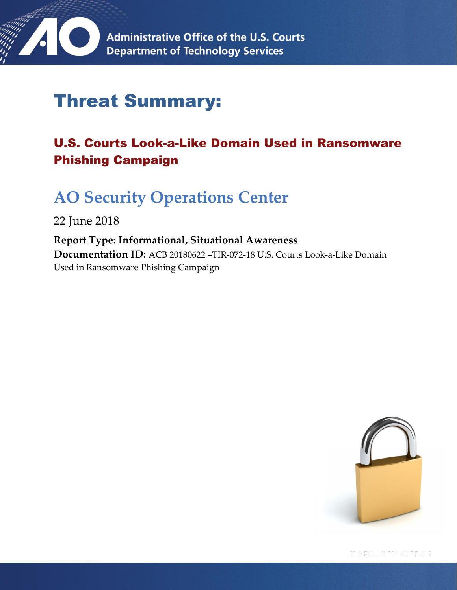

# Threat Summary:

## U.S. Courts Look-a-Like Domain Used in Ransomware Phishing Campaign

# **AO Security Operations Center**

22 June 2018

**Report Type: Informational, Situational Awareness Documentation ID:** ACB 20180622 –TIR-072-18 U.S. Courts Look-a-Like Domain Used in Ransomware Phishing Campaign

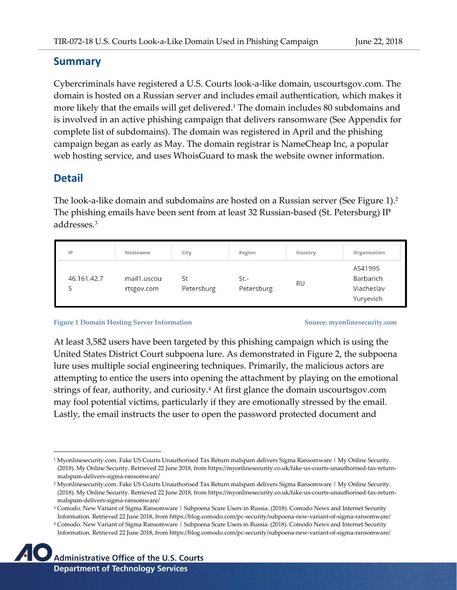#### **Summary**

Cybercriminals have registered a U.S. Courts look-a-like domain, uscourtsgov.com. The domain is hosted on a Russian server and includes email authentication, which makes it more likely that the emails will get delivered.<sup>1</sup> The domain includes 80 subdomains and is involved in an active phishing campaign that delivers ransomware (See Appendix for complete list of subdomains). The domain was registered in April and the phishing campaign began as early as May. The domain registrar is NameCheap Inc, a popular web hosting service, and uses WhoisGuard to mask the website owner information.

### **Detail**

 $\overline{a}$ 

The look-a-like domain and subdomains are hosted on a Russian server (See Figure 1).<sup>2</sup> The phishing emails have been sent from at least 32 Russian-based (St. Petersburg) IP addresses.<sup>3</sup>

| IP          | <b>Hostname</b>           | City             | <b>Region</b>      | <b>Country</b> | <b>Organisation</b>                                    |
|-------------|---------------------------|------------------|--------------------|----------------|--------------------------------------------------------|
| 46.161.42.7 | mail1.uscou<br>rtsgov.com | St<br>Petersburg | St.-<br>Petersburg | RU             | AS41995<br><b>Barbarich</b><br>Viacheslav<br>Yuryevich |

#### **Figure 1 Domain Hosting Server Information Source: myonlinesecurity.com**

**Page 2 of 10**

At least 3,582 users have been targeted by this phishing campaign which is using the United States District Court subpoena lure. As demonstrated in Figure 2, the subpoena lure uses multiple social engineering techniques. Primarily, the malicious actors are attempting to entice the users into opening the attachment by playing on the emotional strings of fear, authority, and curiosity.<sup>4</sup> At first glance the domain uscourtsgov.com may fool potential victims, particularly if they are emotionally stressed by the email. Lastly, the email instructs the user to open the password protected document and

<sup>4</sup> Comodo. New Variant of Sigma Ransomware | Subpoena Scare Users in Russia. (2018). Comodo News and Internet Security Information. Retrieved 22 June 2018, from https://blog.comodo.com/pc-security/subpoena-new-variant-of-sigma-ransomware/



<sup>1</sup> Myonlinesecurity.com. Fake US Courts Unauthorised Tax Return malspam delivers Sigma Ransomware | My Online Security. (2018). My Online Security. Retrieved 22 June 2018, from https://myonlinesecurity.co.uk/fake-us-courts-unauthorised-tax-returnmalspam-delivers-sigma-ransomware/

<sup>2</sup> Myonlinesecurity.com. Fake US Courts Unauthorised Tax Return malspam delivers Sigma Ransomware | My Online Security. (2018). My Online Security. Retrieved 22 June 2018, from https://myonlinesecurity.co.uk/fake-us-courts-unauthorised-tax-returnmalspam-delivers-sigma-ransomware/

<sup>&</sup>lt;sup>3</sup> Comodo. New Variant of Sigma Ransomware | Subpoena Scare Users in Russia. (2018). Comodo News and Internet Security Information. Retrieved 22 June 2018, from https://blog.comodo.com/pc-security/subpoena-new-variant-of-sigma-ransomware/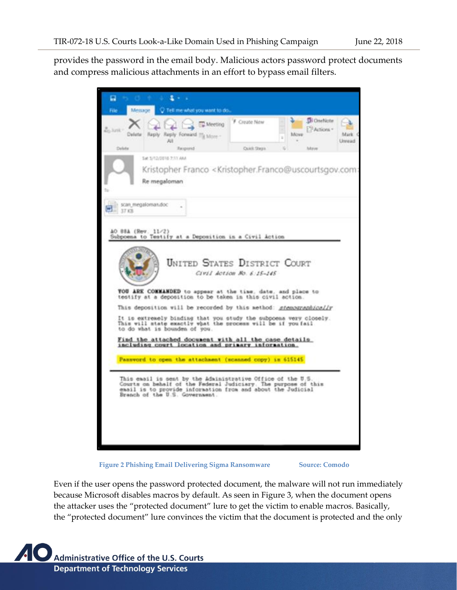provides the password in the email body. Malicious actors password protect documents and compress malicious attachments in an effort to bypass email filters.

| п                                                                                                                                                                                                                              |                           |                 |                                  |                |
|--------------------------------------------------------------------------------------------------------------------------------------------------------------------------------------------------------------------------------|---------------------------|-----------------|----------------------------------|----------------|
| File:<br>Tell me what you want to do<br>Metsage                                                                                                                                                                                |                           |                 |                                  |                |
| Meeting<br>$6.3$ and $^+$<br>Delete: Reply Reply Formatd 11/4 More -<br>All                                                                                                                                                    | F Create New              | Move<br>ä<br>×. | <b>Di Osefázte</b><br>PActions - | Mark<br>Unread |
| Delete<br>Respond                                                                                                                                                                                                              | Outsit Sherra             |                 | Mein                             |                |
| Sat 3/12/2016 2:11 AM<br>Kristopher Franco < Kristopher Franco@uscourtsgov.com:<br>Re megaloman                                                                                                                                |                           |                 |                                  |                |
| scan megaloman.doc<br>37.8%                                                                                                                                                                                                    |                           |                 |                                  |                |
|                                                                                                                                                                                                                                |                           |                 |                                  |                |
| AO 88A (Rev. 11/2)<br>Subpoema to Testify at a Deposition in a Civil Action                                                                                                                                                    |                           |                 |                                  |                |
| <b>UNITED STATES DISTRICT COURT</b><br>TOU ARK COMMANDED to appear at the time, date, and place to<br>testify at a deposition to be taken in this civil action.                                                                | Civil Action No. 6:15-145 |                 |                                  |                |
| This deposition will be recorded by this method: stemperaphically                                                                                                                                                              |                           |                 |                                  |                |
| It is extremely binding that you study the subpoens very closely.<br>This will state exactly what the process will be if you fail<br>to do what is bounden of you.                                                             |                           |                 |                                  |                |
| Find the attached document with all the case details<br>including court location and primary information.                                                                                                                      |                           |                 |                                  |                |
| Password to open the attachment (scanned copy) is 615145.                                                                                                                                                                      |                           |                 |                                  |                |
|                                                                                                                                                                                                                                |                           |                 |                                  |                |
| This email is sent by the Administrative Office of the U.S.<br>Courts on behalf of the Federal Judiciary. The purpose of this<br>email is to provide information from and about the Judicial<br>Branch of the U.S. Government. |                           |                 |                                  |                |
|                                                                                                                                                                                                                                |                           |                 |                                  |                |
|                                                                                                                                                                                                                                |                           |                 |                                  |                |
|                                                                                                                                                                                                                                |                           |                 |                                  |                |
|                                                                                                                                                                                                                                |                           |                 |                                  |                |



**Page 3 of 10**

Even if the user opens the password protected document, the malware will not run immediately because Microsoft disables macros by default. As seen in Figure 3, when the document opens the attacker uses the "protected document" lure to get the victim to enable macros. Basically, the "protected document" lure convinces the victim that the document is protected and the only

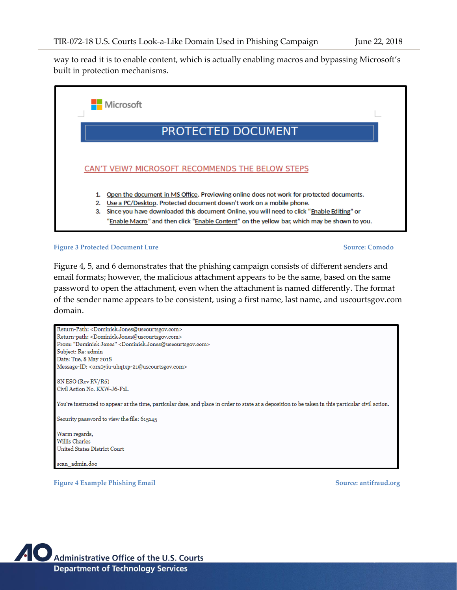way to read it is to enable content, which is actually enabling macros and bypassing Microsoft's built in protection mechanisms.



**Figure 3 Protected Document Lure Source: Comodo** 

Figure 4, 5, and 6 demonstrates that the phishing campaign consists of different senders and email formats; however, the malicious attachment appears to be the same, based on the same password to open the attachment, even when the attachment is named differently. The format of the sender name appears to be consistent, using a first name, last name, and uscourtsgov.com domain.

Return-Path: <Dominick.Jones@uscourtsgov.com> Return-path: <Dominick.Jones@uscourtsgov.com> From: "Dominick Jones" < Dominick.Jones@uscourtsgov.com> Subject: Re: admin Date: Tue, 8 May 2018 Message-ID: <orxoyiu-uhqtxp-21@uscourtsgov.com> 8N ESO (Rev RV/R6) Civil Action No. KXW-J6-F1L You're instructed to appear at the time, particular date, and place in order to state at a deposition to be taken in this particular civil action. Security password to view the file: 615145 Warm regards, **Willis Charles United States District Court** sean\_admin.doe

**Figure 4 Example Phishing Email Source: antifraud.org**

**Page 4 of 10**

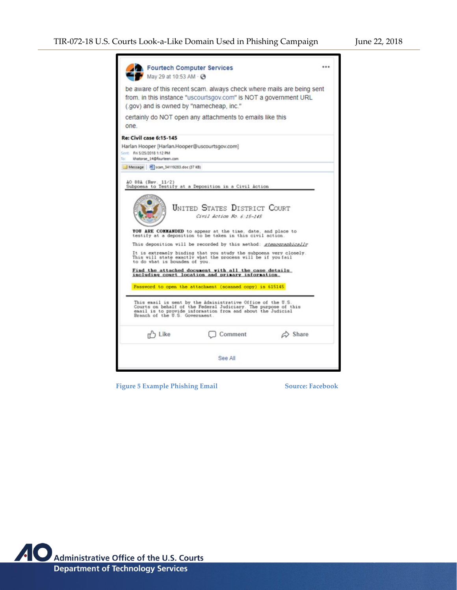| Fourtech Computer Services<br>May 29 at 10:53 AM · 3                                                                                                                                                                           |                                                                                                                                           |                         |  |  |
|--------------------------------------------------------------------------------------------------------------------------------------------------------------------------------------------------------------------------------|-------------------------------------------------------------------------------------------------------------------------------------------|-------------------------|--|--|
| (.gov) and is owned by "namecheap, inc."                                                                                                                                                                                       | be aware of this recent scam, always check where mails are being sent<br>from, in this instance "uscourtsgov.com" is NOT a government URL |                         |  |  |
| one.                                                                                                                                                                                                                           | certainly do NOT open any attachments to emails like this                                                                                 |                         |  |  |
| <b>Re: Civil case 6:15-145</b><br>Harlan Hooper [Harlan.Hooper@uscourtsgov.com]<br>Sent: Fri 5/25/2018 1:12 PM<br>khatorse 14@fourteen.com                                                                                     |                                                                                                                                           |                         |  |  |
| Message M scan 34119283.doc (37 KB)                                                                                                                                                                                            |                                                                                                                                           |                         |  |  |
| AO 88A (Rev. 11/2)                                                                                                                                                                                                             | Subpoena to Testify at a Deposition in a Civil Action                                                                                     |                         |  |  |
|                                                                                                                                                                                                                                | <b>UNITED STATES DISTRICT COURT</b><br>Civil Action No. 6:15-145                                                                          |                         |  |  |
|                                                                                                                                                                                                                                | YOU ARE COMMANDED to appear at the time, date, and place to<br>testify at a deposition to be taken in this civil action.                  |                         |  |  |
|                                                                                                                                                                                                                                | This deposition will be recorded by this method: stenographically                                                                         |                         |  |  |
| to do what is bounden of you.                                                                                                                                                                                                  | It is extremely binding that you study the subpoena very closely.<br>This will state exactly what the process will be if you fail         |                         |  |  |
|                                                                                                                                                                                                                                | Find the attached document with all the case details<br>including court location and primary information.                                 |                         |  |  |
|                                                                                                                                                                                                                                | Password to open the attachment (scanned copy) is 615145                                                                                  |                         |  |  |
| This email is sent by the Administrative Office of the U.S.<br>Courts on behalf of the Federal Judiciary. The purpose of this<br>easil is to provide information from and about the Judicial<br>Branch of the U.S. Government. |                                                                                                                                           |                         |  |  |
| n <sup>2</sup> Like                                                                                                                                                                                                            | Comment                                                                                                                                   | $\Leftrightarrow$ Share |  |  |
|                                                                                                                                                                                                                                | See All                                                                                                                                   |                         |  |  |
|                                                                                                                                                                                                                                |                                                                                                                                           |                         |  |  |

 **Figure 5 Example Phishing Email Source: Facebook**

**Page 5 of 10**

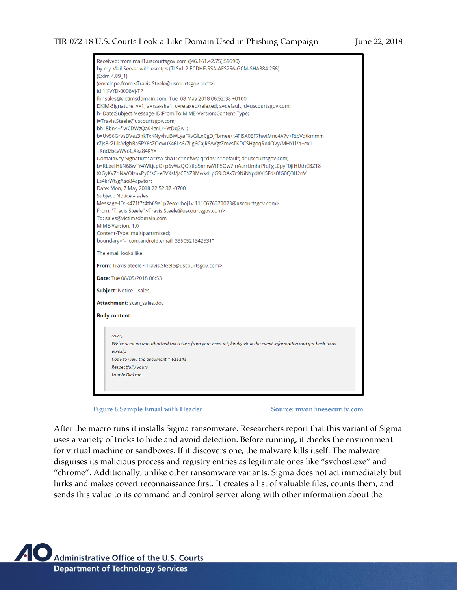| Received: from mail1.uscourtsgov.com ([46.161.42.75]:59590)<br>by my Mail Server with esmtps (TLSv1.2:ECDHE-RSA-AES256-GCM-SHA384:256) |  |  |  |  |
|----------------------------------------------------------------------------------------------------------------------------------------|--|--|--|--|
| (Exim 4.89_1)                                                                                                                          |  |  |  |  |
| (envelope-from <travis.steele@uscourtsgov.com>)</travis.steele@uscourtsgov.com>                                                        |  |  |  |  |
| id 1fFvYD-0006Vj-TP                                                                                                                    |  |  |  |  |
| for sales@victimsdomain.com; Tue, 08 May 2018 06:52:38 +0100                                                                           |  |  |  |  |
| DKIM-Signature: v=1; a=rsa-sha1; c=relaxed/relaxed; s=default; d=uscourtsgov.com;                                                      |  |  |  |  |
| h=Date:Subject:Message-ID:From:To:MIME-Version:Content-Type;                                                                           |  |  |  |  |
| i=Travis.Steele@uscourtsgov.com;                                                                                                       |  |  |  |  |
| bh=5bn4+fiwCDWzQa04znLr+YtDq2A=;                                                                                                       |  |  |  |  |
| b=Uv56GrVsDVez3nkTxKNyvhuBWLyaFXvGlLoCgDjFbmee+t4FISA0EF7hwtMnc4A7v+RtbVqtkmmm                                                         |  |  |  |  |
| rZJs8kZUkAdgbBa5PY6sZOcwuX46Ls6/7Lg6CajRSAVgtZmvsTKDCSHgoqRo4OVy/MHYLl/n+ex1                                                           |  |  |  |  |
| +KndzbcvWVoGXeZ84KY=                                                                                                                   |  |  |  |  |
| DomainKey-Signature: a=rsa-sha1; c=nofws; q=dns; s=default; d=uscourtsgov.com;                                                         |  |  |  |  |
| b=RLeefH6N68wTY4WItjcpO+p6vWzQOl/ifp5nmwVfP5Ow7mAcrrUmhrPfqFgLCpyF0jfHUthCBZT8                                                         |  |  |  |  |
| XtGyKVZqNa/OlznxPy0fsC+e8VXsf/J/CBYZ9Mwk4LpG9iOAk7r9NiNYpdXVI5Fds0fG0Q3H2nVL                                                           |  |  |  |  |
| Ls4krWt/gAao84apvto=;                                                                                                                  |  |  |  |  |
| Date: Mon, 7 May 2018 22:52:37 -0700                                                                                                   |  |  |  |  |
| Subject: Notice - sales                                                                                                                |  |  |  |  |
| Message-ID: <471f7t4th69e1p7eoxuboj1v.1110676370023@uscourtsgov.com>                                                                   |  |  |  |  |
| From: "Travis Steele" <travis.steele@uscourtsgov.com></travis.steele@uscourtsgov.com>                                                  |  |  |  |  |
| To: sales@victimsdomain.com                                                                                                            |  |  |  |  |
| MIME-Version: 1.0                                                                                                                      |  |  |  |  |
| Content-Type: multipart/mixed;                                                                                                         |  |  |  |  |
| boundary="-_com.android.email_3350521342531"                                                                                           |  |  |  |  |
| The email looks like:                                                                                                                  |  |  |  |  |
| From: Travis Steele <travis.steele@uscourtsgov.com></travis.steele@uscourtsgov.com>                                                    |  |  |  |  |
| Date: Tue 08/05/2018 06:53                                                                                                             |  |  |  |  |
| Subject: Notice - sales                                                                                                                |  |  |  |  |
| Attachment: scan_sales.doc                                                                                                             |  |  |  |  |
| <b>Body content:</b>                                                                                                                   |  |  |  |  |
| sales.                                                                                                                                 |  |  |  |  |
| We've seen an unauthorized tax return from your account, kindly view the event information and get back to us                          |  |  |  |  |
| quickly.                                                                                                                               |  |  |  |  |
| Code to view the document = 615145                                                                                                     |  |  |  |  |
| <b>Respectfully yours</b>                                                                                                              |  |  |  |  |
| <b>Lonnie Dickson</b>                                                                                                                  |  |  |  |  |
|                                                                                                                                        |  |  |  |  |
|                                                                                                                                        |  |  |  |  |

Figure 6 Sample Email with Header Source: myonlinesecurity.com

**Page 6 of 10**

After the macro runs it installs Sigma ransomware. Researchers report that this variant of Sigma uses a variety of tricks to hide and avoid detection. Before running, it checks the environment for virtual machine or sandboxes. If it discovers one, the malware kills itself. The malware disguises its malicious process and registry entries as legitimate ones like "svchost.exe" and "chrome". Additionally, unlike other ransomware variants, Sigma does not act immediately but lurks and makes covert reconnaissance first. It creates a list of valuable files, counts them, and sends this value to its command and control server along with other information about the

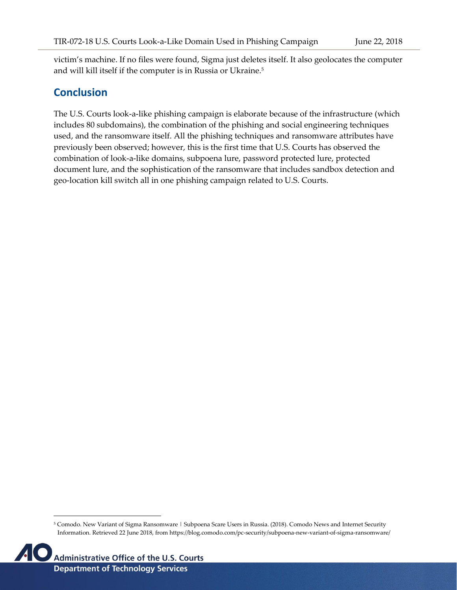**Page 7 of 10**

victim's machine. If no files were found, Sigma just deletes itself. It also geolocates the computer and will kill itself if the computer is in Russia or Ukraine.<sup>5</sup>

#### **Conclusion**

The U.S. Courts look-a-like phishing campaign is elaborate because of the infrastructure (which includes 80 subdomains), the combination of the phishing and social engineering techniques used, and the ransomware itself. All the phishing techniques and ransomware attributes have previously been observed; however, this is the first time that U.S. Courts has observed the combination of look-a-like domains, subpoena lure, password protected lure, protected document lure, and the sophistication of the ransomware that includes sandbox detection and geo-location kill switch all in one phishing campaign related to U.S. Courts.

<sup>5</sup> Comodo. New Variant of Sigma Ransomware | Subpoena Scare Users in Russia. (2018). Comodo News and Internet Security Information. Retrieved 22 June 2018, from https://blog.comodo.com/pc-security/subpoena-new-variant-of-sigma-ransomware/

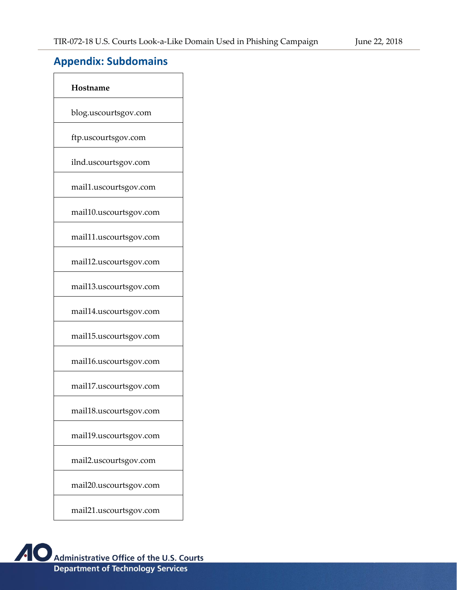**Page 8 of 10**

## **Appendix: Subdomains**

| Hostname               |
|------------------------|
| blog.uscourtsgov.com   |
| ftp.uscourtsgov.com    |
| ilnd.uscourtsgov.com   |
| mail1.uscourtsgov.com  |
| mail10.uscourtsgov.com |
| mail11.uscourtsgov.com |
| mail12.uscourtsgov.com |
| mail13.uscourtsgov.com |
| mail14.uscourtsgov.com |
| mail15.uscourtsgov.com |
| mail16.uscourtsgov.com |
| mail17.uscourtsgov.com |
| mail18.uscourtsgov.com |
| mail19.uscourtsgov.com |
| mail2.uscourtsgov.com  |
| mail20.uscourtsgov.com |
| mail21.uscourtsgov.com |

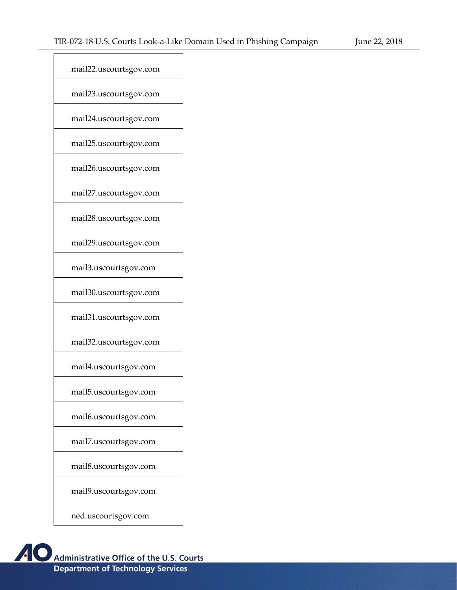**Page 9 of 10**

| mail22.uscourtsgov.com |
|------------------------|
| mail23.uscourtsgov.com |
| mail24.uscourtsgov.com |
| mail25.uscourtsgov.com |
| mail26.uscourtsgov.com |
| mail27.uscourtsgov.com |
| mail28.uscourtsgov.com |
| mail29.uscourtsgov.com |
| mail3.uscourtsgov.com  |
| mail30.uscourtsgov.com |
| mail31.uscourtsgov.com |
| mail32.uscourtsgov.com |
| mail4.uscourtsgov.com  |
| mail5.uscourtsgov.com  |
| mail6.uscourtsgov.com  |
| mail7.uscourtsgov.com  |
| mail8.uscourtsgov.com  |
| mail9.uscourtsgov.com  |
| ned.uscourtsgov.com    |

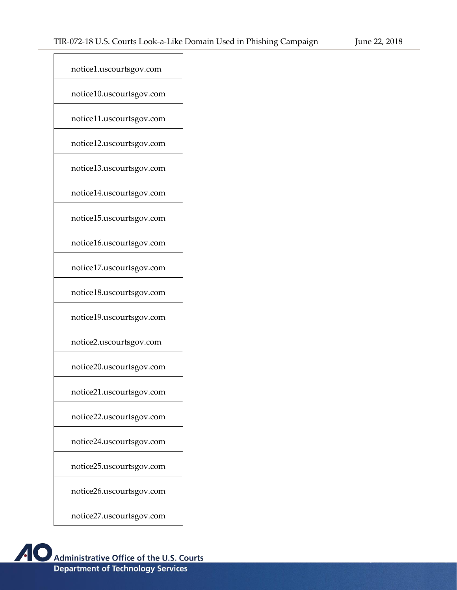**Page 10 of 10**

| notice1.uscourtsgov.com  |
|--------------------------|
| notice10.uscourtsgov.com |
| notice11.uscourtsgov.com |
| notice12.uscourtsgov.com |
| notice13.uscourtsgov.com |
| notice14.uscourtsgov.com |
| notice15.uscourtsgov.com |
| notice16.uscourtsgov.com |
| notice17.uscourtsgov.com |
| notice18.uscourtsgov.com |
| notice19.uscourtsgov.com |
| notice2.uscourtsgov.com  |
| notice20.uscourtsgov.com |
| notice21.uscourtsgov.com |
| notice22.uscourtsgov.com |
| notice24.uscourtsgov.com |
| notice25.uscourtsgov.com |
| notice26.uscourtsgov.com |
| notice27.uscourtsgov.com |

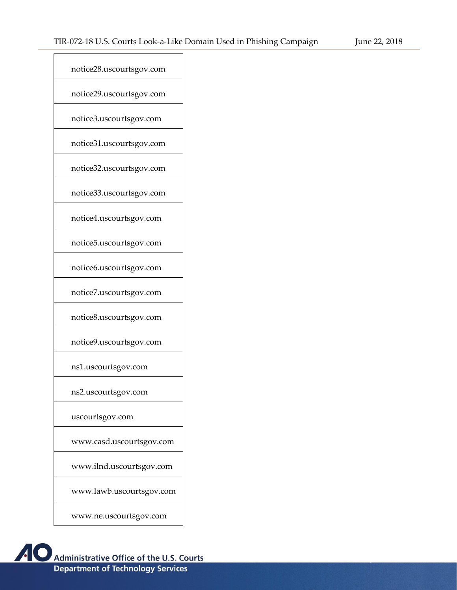**Page 11 of 10**

| notice28.uscourtsgov.com |
|--------------------------|
| notice29.uscourtsgov.com |
| notice3.uscourtsgov.com  |
| notice31.uscourtsgov.com |
| notice32.uscourtsgov.com |
| notice33.uscourtsgov.com |
| notice4.uscourtsgov.com  |
| notice5.uscourtsgov.com  |
| notice6.uscourtsgov.com  |
| notice7.uscourtsgov.com  |
| notice8.uscourtsgov.com  |
| notice9.uscourtsgov.com  |
| ns1.uscourtsgov.com      |
| ns2.uscourtsgov.com      |
| uscourtsgov.com          |
| www.casd.uscourtsgov.com |
| www.ilnd.uscourtsgov.com |
| www.lawb.uscourtsgov.com |
| www.ne.uscourtsgov.com   |
|                          |